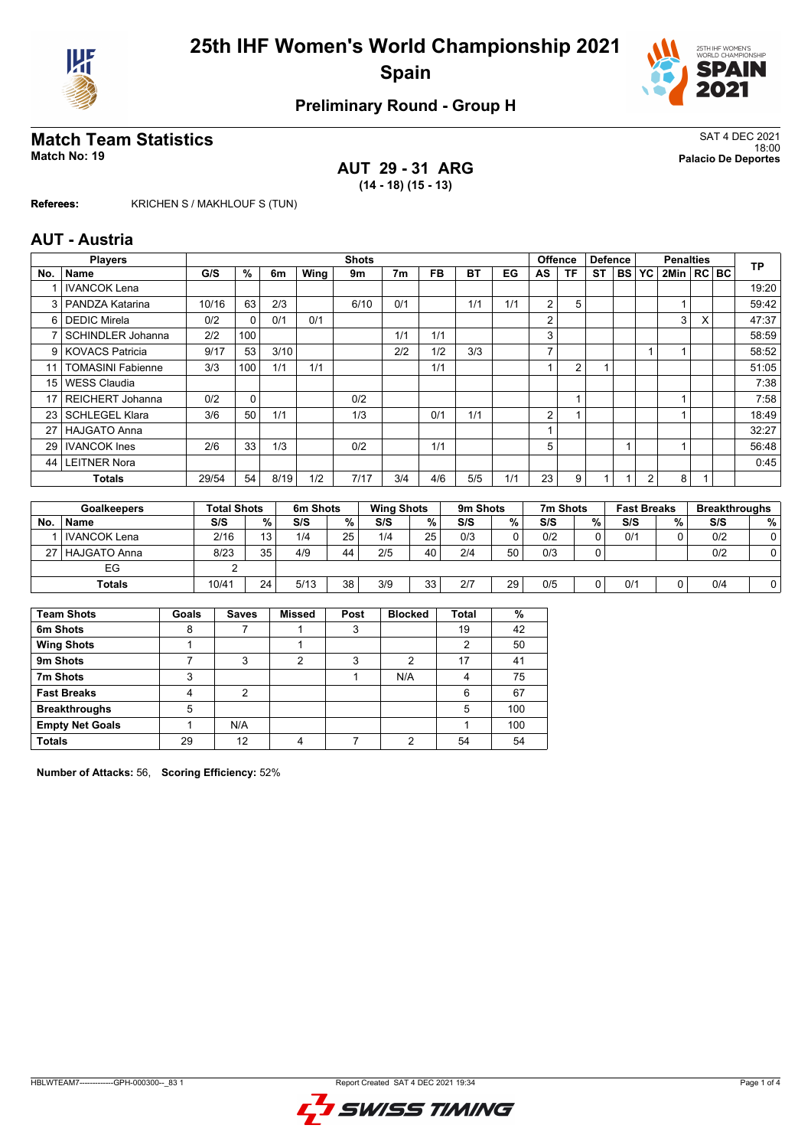



# **Match Team Statistics** SAT 4 DEC 2021

**AUT 29 - 31 ARG (14 - 18) (15 - 13)**

18:00 **Match No: 19 Palacio De Deportes**

**Referees:** KRICHEN S / MAKHLOUF S (TUN)

#### **AUT - Austria**

|     | <b>Players</b>           |       |     |      |      | <b>Shots</b> |                |           |     |     | <b>Offence</b> |    | <b>Defence</b> |           |                | <b>Penalties</b> |   | <b>TP</b> |
|-----|--------------------------|-------|-----|------|------|--------------|----------------|-----------|-----|-----|----------------|----|----------------|-----------|----------------|------------------|---|-----------|
| No. | Name                     | G/S   | %   | 6m   | Wing | 9m           | 7 <sub>m</sub> | <b>FB</b> | ВT  | EG  | AS             | ΤF | ST             | <b>BS</b> | YC             | 2Min RC BC       |   |           |
|     | <b>IVANCOK Lena</b>      |       |     |      |      |              |                |           |     |     |                |    |                |           |                |                  |   | 19:20     |
| 3   | PANDZA Katarina          | 10/16 | 63  | 2/3  |      | 6/10         | 0/1            |           | 1/1 | 1/1 | $\overline{2}$ | 5  |                |           |                |                  |   | 59:42     |
| 6   | <b>DEDIC Mirela</b>      | 0/2   | 0   | 0/1  | 0/1  |              |                |           |     |     | $\overline{2}$ |    |                |           |                | 3                | X | 47:37     |
| 7   | <b>SCHINDLER Johanna</b> | 2/2   | 100 |      |      |              | 1/1            | 1/1       |     |     | 3              |    |                |           |                |                  |   | 58:59     |
|     | 9 KOVACS Patricia        | 9/17  | 53  | 3/10 |      |              | 2/2            | 1/2       | 3/3 |     | $\overline{ }$ |    |                |           |                |                  |   | 58:52     |
| 11  | <b>TOMASINI Fabienne</b> | 3/3   | 100 | 1/1  | 1/1  |              |                | 1/1       |     |     |                | 2  |                |           |                |                  |   | 51:05     |
| 15  | <b>WESS Claudia</b>      |       |     |      |      |              |                |           |     |     |                |    |                |           |                |                  |   | 7:38      |
| 17  | <b>REICHERT Johanna</b>  | 0/2   | 0   |      |      | 0/2          |                |           |     |     |                |    |                |           |                |                  |   | 7:58      |
| 23  | <b>SCHLEGEL Klara</b>    | 3/6   | 50  | 1/1  |      | 1/3          |                | 0/1       | 1/1 |     | 2              |    |                |           |                |                  |   | 18:49     |
| 27  | <b>HAJGATO Anna</b>      |       |     |      |      |              |                |           |     |     |                |    |                |           |                |                  |   | 32:27     |
| 29  | <b>IVANCOK</b> Ines      | 2/6   | 33  | 1/3  |      | 0/2          |                | 1/1       |     |     | 5              |    |                |           |                |                  |   | 56:48     |
| 44  | <b>LEITNER Nora</b>      |       |     |      |      |              |                |           |     |     |                |    |                |           |                |                  |   | 0:45      |
|     | <b>Totals</b>            | 29/54 | 54  | 8/19 | 1/2  | 7/17         | 3/4            | 4/6       | 5/5 | 1/1 | 23             | 9  |                |           | $\overline{2}$ | 8                |   |           |

|     | <b>Goalkeepers</b>    | <b>Total Shots</b> |    | 6m Shots |    | <b>Wing Shots</b> |                 | 9m Shots |    | 7m Shots |          | <b>Fast Breaks</b> |   | <b>Breakthroughs</b> |   |
|-----|-----------------------|--------------------|----|----------|----|-------------------|-----------------|----------|----|----------|----------|--------------------|---|----------------------|---|
| No. | <b>Name</b>           | S/S                | %  | S/S      | %  | S/S               | %               | S/S      | %  | S/S      | %        | S/S                | % | S/S                  | % |
|     | <b>I</b> IVANCOK Lena | 2/16               | 13 | 1/4      | 25 | 1/4               | 25 <sub>1</sub> | 0/3      | 0  | 0/2      | $\Omega$ | 0/1                |   | 0/2                  |   |
|     | 27   HAJGATO Anna     | 8/23               | 35 | 4/9      | 44 | 2/5               | 40              | 2/4      | 50 | 0/3      | ∩        |                    |   | 0/2                  |   |
|     | EG                    |                    |    |          |    |                   |                 |          |    |          |          |                    |   |                      |   |
|     | <b>Totals</b>         | 10/41              | 24 | 5/13     | 38 | 3/9               | 33              | 2/7      | 29 | 0/5      | 0        | 0/1                |   | 0/4                  |   |

| <b>Team Shots</b>      | Goals | <b>Saves</b> | <b>Missed</b> | Post | <b>Blocked</b> | <b>Total</b> | %   |
|------------------------|-------|--------------|---------------|------|----------------|--------------|-----|
| 6m Shots               | 8     |              |               | 3    |                | 19           | 42  |
| <b>Wing Shots</b>      |       |              |               |      |                | າ            | 50  |
| 9m Shots               |       | 3            | 2             | 3    | 2              | 17           | 41  |
| 7m Shots               | 3     |              |               |      | N/A            | 4            | 75  |
| <b>Fast Breaks</b>     |       | 2            |               |      |                | 6            | 67  |
| <b>Breakthroughs</b>   | 5     |              |               |      |                | 5            | 100 |
| <b>Empty Net Goals</b> |       | N/A          |               |      |                |              | 100 |
| <b>Totals</b>          | 29    | 12           |               |      | ◠              | 54           | 54  |

**Number of Attacks:** 56, **Scoring Efficiency:** 52%

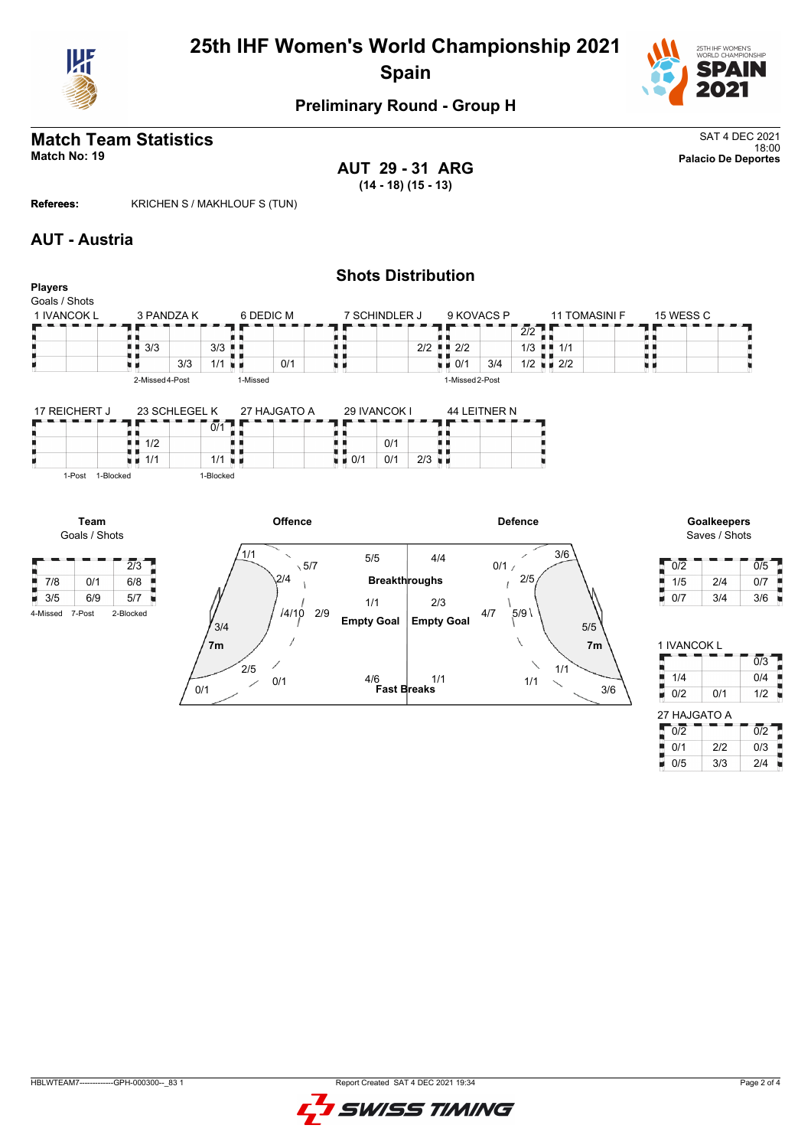



## **Match Team Statistics** SAT 4 DEC 2021

**AUT 29 - 31 ARG (14 - 18) (15 - 13)**

18:00 **Match No: 19 Palacio De Deportes**

 $1/4$  0/4  $0/2$   $0/1$   $1/2$ 

Ĩ,

Ŧ

 $\frac{1}{2}$  0/2  $\frac{1}{2}$  0/2  $\frac{1}{2}$  $\bullet$  0/1 2/2 0/3  $0/5$  3/3 2/4

27 HAJGATO A

**Referees:** KRICHEN S / MAKHLOUF S (TUN)

#### **AUT - Austria**



**Fast Breaks**

1/1

3/6

1/1

1/1

4/6

0/1

0/1

 $2/5$ 

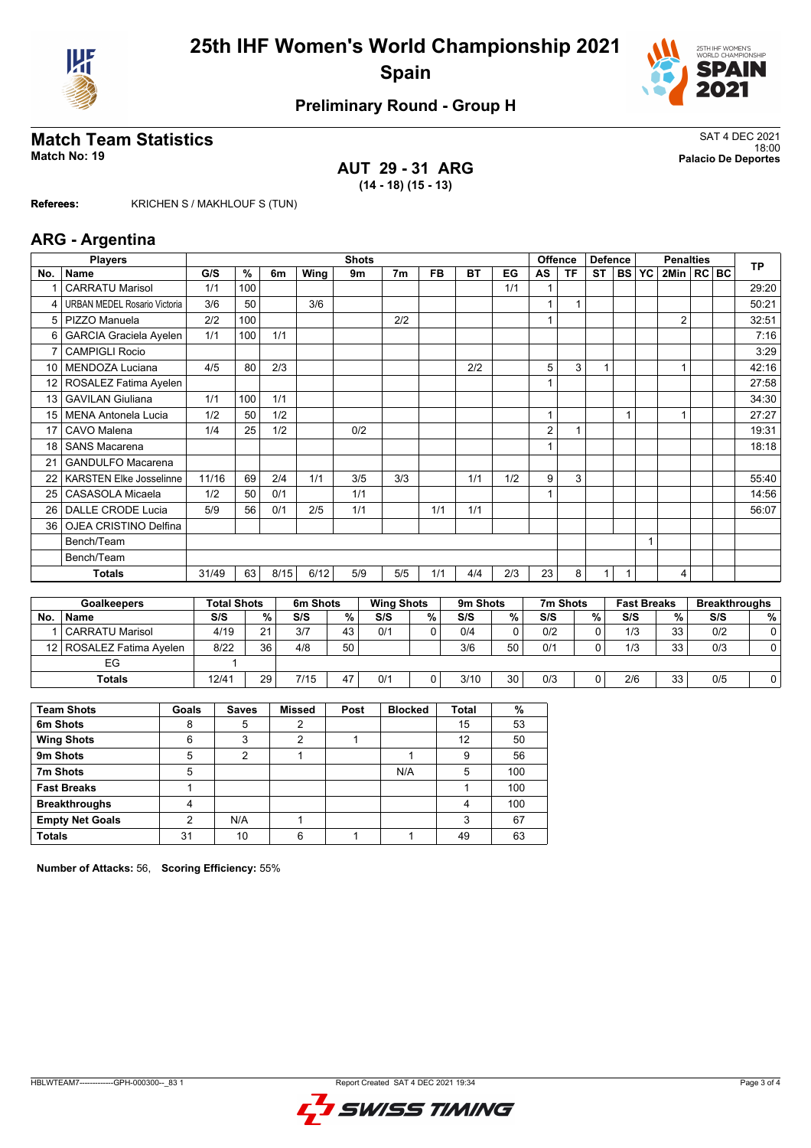



# **Match Team Statistics** SAT 4 DEC 2021

#### **AUT 29 - 31 ARG (14 - 18) (15 - 13)**

18:00 **Match No: 19 Palacio De Deportes**

**Referees:** KRICHEN S / MAKHLOUF S (TUN)

#### **ARG - Argentina**

|                 | <b>Players</b>                      |       | <b>Shots</b>  |      |      |     |     |           | <b>Offence</b> | <b>Defence</b> |    |           | <b>TP</b> |           |           |                |         |  |       |
|-----------------|-------------------------------------|-------|---------------|------|------|-----|-----|-----------|----------------|----------------|----|-----------|-----------|-----------|-----------|----------------|---------|--|-------|
| No.             | <b>Name</b>                         | G/S   | $\frac{9}{6}$ | 6m   | Wing | 9m  | 7m  | <b>FB</b> | <b>BT</b>      | EG             | AS | <b>TF</b> | <b>ST</b> | <b>BS</b> | <b>YC</b> | 2Min           | $RC$ BC |  |       |
|                 | <b>CARRATU Marisol</b>              | 1/1   | 100           |      |      |     |     |           |                | 1/1            |    |           |           |           |           |                |         |  | 29:20 |
| 4               | <b>URBAN MEDEL Rosario Victoria</b> | 3/6   | 50            |      | 3/6  |     |     |           |                |                |    |           |           |           |           |                |         |  | 50:21 |
|                 | 5   PIZZO Manuela                   | 2/2   | 100           |      |      |     | 2/2 |           |                |                |    |           |           |           |           | $\overline{2}$ |         |  | 32:51 |
| 6               | <b>GARCIA Graciela Ayelen</b>       | 1/1   | 100           | 1/1  |      |     |     |           |                |                |    |           |           |           |           |                |         |  | 7:16  |
| 7               | <b>CAMPIGLI Rocio</b>               |       |               |      |      |     |     |           |                |                |    |           |           |           |           |                |         |  | 3:29  |
| 10              | MENDOZA Luciana                     | 4/5   | 80            | 2/3  |      |     |     |           | 2/2            |                | 5  | 3         |           |           |           |                |         |  | 42:16 |
| 12 <sub>1</sub> | ROSALEZ Fatima Ayelen               |       |               |      |      |     |     |           |                |                |    |           |           |           |           |                |         |  | 27:58 |
| 13              | <b>GAVILAN Giuliana</b>             | 1/1   | 100           | 1/1  |      |     |     |           |                |                |    |           |           |           |           |                |         |  | 34:30 |
| 15 <sup>1</sup> | <b>MENA Antonela Lucia</b>          | 1/2   | 50            | 1/2  |      |     |     |           |                |                | 1  |           |           |           |           |                |         |  | 27:27 |
| 17              | CAVO Malena                         | 1/4   | 25            | 1/2  |      | 0/2 |     |           |                |                | 2  |           |           |           |           |                |         |  | 19:31 |
| 18              | <b>SANS Macarena</b>                |       |               |      |      |     |     |           |                |                |    |           |           |           |           |                |         |  | 18:18 |
| 21              | <b>GANDULFO Macarena</b>            |       |               |      |      |     |     |           |                |                |    |           |           |           |           |                |         |  |       |
| 22              | <b>KARSTEN Elke Josselinne</b>      | 11/16 | 69            | 2/4  | 1/1  | 3/5 | 3/3 |           | 1/1            | 1/2            | 9  | 3         |           |           |           |                |         |  | 55:40 |
| 25              | CASASOLA Micaela                    | 1/2   | 50            | 0/1  |      | 1/1 |     |           |                |                |    |           |           |           |           |                |         |  | 14:56 |
| 26              | DALLE CRODE Lucia                   | 5/9   | 56            | 0/1  | 2/5  | 1/1 |     | 1/1       | 1/1            |                |    |           |           |           |           |                |         |  | 56:07 |
| 36              | <b>OJEA CRISTINO Delfina</b>        |       |               |      |      |     |     |           |                |                |    |           |           |           |           |                |         |  |       |
|                 | Bench/Team                          |       |               |      |      |     |     |           |                |                |    |           |           |           |           |                |         |  |       |
|                 | Bench/Team                          |       |               |      |      |     |     |           |                |                |    |           |           |           |           |                |         |  |       |
|                 | <b>Totals</b>                       | 31/49 | 63            | 8/15 | 6/12 | 5/9 | 5/5 | 1/1       | 4/4            | 2/3            | 23 | 8         | 1         |           |           | 4              |         |  |       |

|                 | <b>Goalkeepers</b>    | <b>Total Shots</b> |          | 6m Shots |    | <b>Wing Shots</b> |   | 9m Shots |    | 7m Shots |   | <b>Fast Breaks</b> |    | <b>Breakthroughs</b> |   |
|-----------------|-----------------------|--------------------|----------|----------|----|-------------------|---|----------|----|----------|---|--------------------|----|----------------------|---|
| <b>No</b>       | <b>Name</b>           | S/S                | %        | S/S      | %  | S/S               | % | S/S      | %  | S/S      | % | S/S                | %  | S/S                  | % |
|                 | CARRATU Marisol       | 4/19               | $\Omega$ | 3/7      | 43 | 0/1               |   | 0/4      |    | 0/2      | ۵ | 1/3                | 33 | 0/2                  |   |
| 12 <sub>1</sub> | ROSALEZ Fatima Ayelen | 8/22               | 36       | 4/8      | 50 |                   |   | 3/6      | 50 | 0/1      | С | 1/3                | 33 | 0/3                  |   |
|                 | EG                    |                    |          |          |    |                   |   |          |    |          |   |                    |    |                      |   |
|                 | <b>Totals</b>         | 12/41              | 29       | 7/15     | 47 | 0/1               |   | 3/10     | 30 | 0/3      | 0 | 2/6                | 33 | 0/5                  |   |

| <b>Team Shots</b>      | Goals | <b>Saves</b> | <b>Missed</b> | Post | <b>Blocked</b> | <b>Total</b> | %   |
|------------------------|-------|--------------|---------------|------|----------------|--------------|-----|
| 6m Shots               | 8     | 5            | 2             |      |                | 15           | 53  |
| <b>Wing Shots</b>      | 6     | 3            | າ             |      |                | 12           | 50  |
| 9m Shots               | 5     | 2            |               |      |                | 9            | 56  |
| 7m Shots               | 5     |              |               |      | N/A            | 5            | 100 |
| <b>Fast Breaks</b>     |       |              |               |      |                |              | 100 |
| <b>Breakthroughs</b>   | 4     |              |               |      |                | Λ            | 100 |
| <b>Empty Net Goals</b> | 2     | N/A          |               |      |                | 3            | 67  |
| <b>Totals</b>          | 31    | 10           | 6             |      |                | 49           | 63  |

**Number of Attacks:** 56, **Scoring Efficiency:** 55%